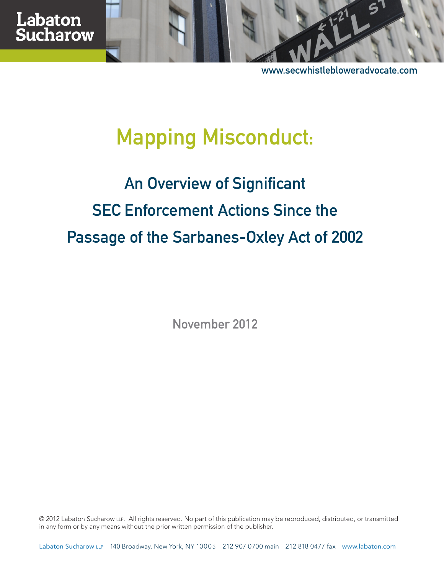www.secwhistlebloweradvocate.com

# Mapping Misconduct:

# An Overview of Significant SEC Enforcement Actions Since the Passage of the Sarbanes-Oxley Act of 2002

November 2012

© 2012 Labaton Sucharow LLP. All rights reserved. No part of this publication may be reproduced, distributed, or transmitted in any form or by any means without the prior written permission of the publisher.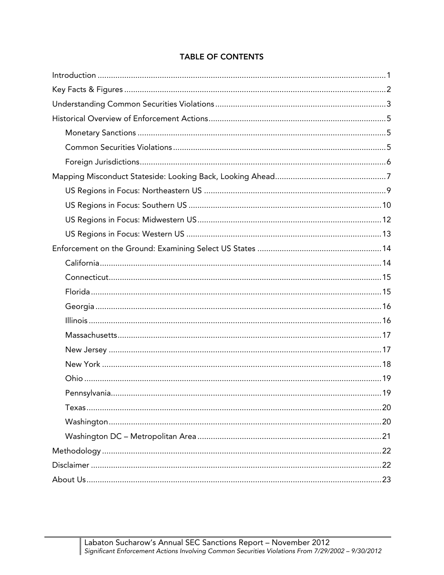#### **TABLE OF CONTENTS**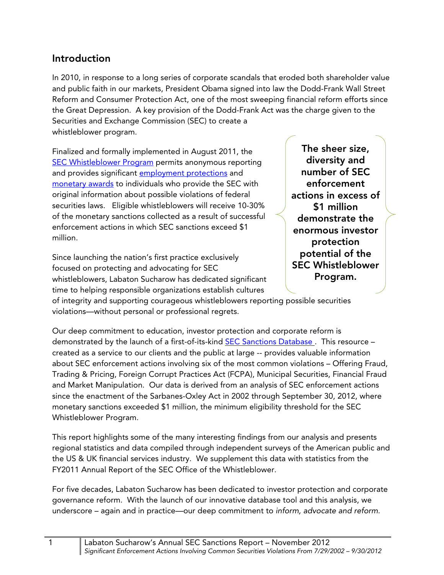### **Introduction**

In 2010, in response to a long series of corporate scandals that eroded both shareholder value and public faith in our markets, President Obama signed into law the Dodd-Frank Wall Street Reform and Consumer Protection Act, one of the most sweeping financial reform efforts since the Great Depression. A key provision of the Dodd-Frank Act was the charge given to the Securities and Exchange Commission (SEC) to create a whistleblower program.

Finalized and formally implemented in August 2011, the **[SEC Whistleblower Program p](http://www.secwhistlebloweradvocate.com/program-overview)ermits anonymous reporting** and provides significant [employment protections](http://www.secwhistlebloweradvocate.com/employment-protections) and [monetary awards t](http://www.secwhistlebloweradvocate.com/monetary-incentives)o individuals who provide the SEC with original information about possible violations of federal securities laws. Eligible whistleblowers will receive 10-30% of the monetary sanctions collected as a result of successful enforcement actions in which SEC sanctions exceed \$1 million.

Since launching the nation's first practice exclusively focused on protecting and advocating for SEC whistleblowers, Labaton Sucharow has dedicated significant time to helping responsible organizations establish cultures

**The sheer size, diversity and number of SEC enforcement actions in excess of \$1 million demonstrate the enormous investor protection potential of the SEC Whistleblower Program.** 

of integrity and supporting courageous whistleblowers reporting possible securities violations—without personal or professional regrets.

Our deep commitment to education, investor protection and corporate reform is demonstrated by the launch of a first-of-its-kind **SEC Sanctions Database**. This resource – created as a service to our clients and the public at large -- provides valuable information about SEC enforcement actions involving six of the most common violations – Offering Fraud, Trading & Pricing, Foreign Corrupt Practices Act (FCPA), Municipal Securities, Financial Fraud and Market Manipulation. Our data is derived from an analysis of SEC enforcement actions since the enactment of the Sarbanes-Oxley Act in 2002 through September 30, 2012, where monetary sanctions exceeded \$1 million, the minimum eligibility threshold for the SEC Whistleblower Program.

This report highlights some of the many interesting findings from our analysis and presents regional statistics and data compiled through independent surveys of the American public and the US & UK financial services industry. We supplement this data with statistics from the FY2011 Annual Report of the SEC Office of the Whistleblower.

For five decades, Labaton Sucharow has been dedicated to investor protection and corporate governance reform. With the launch of our innovative database tool and this analysis, we underscore – again and in practice—our deep commitment to inform, advocate and reform.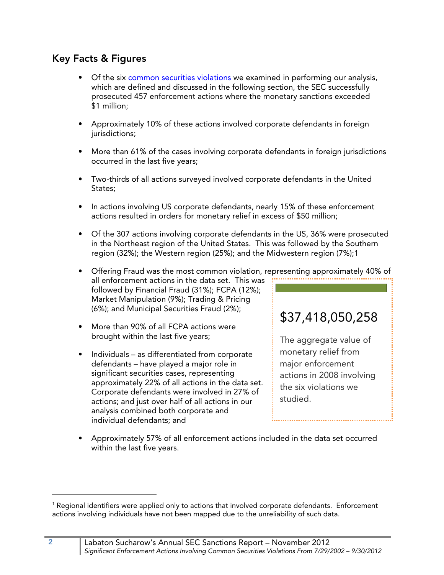## **Key Facts & Figures**

- Of the six [common securities violations w](http://www.sec.gov/news/newsroom/howinvestigationswork.html)e examined in performing our analysis, which are defined and discussed in the following section, the SEC successfully prosecuted 457 enforcement actions where the monetary sanctions exceeded \$1 million;
- Approximately 10% of these actions involved corporate defendants in foreign jurisdictions;
- More than 61% of the cases involving corporate defendants in foreign jurisdictions occurred in the last five years;
- Two-thirds of all actions surveyed involved corporate defendants in the United States;
- In actions involving US corporate defendants, nearly 15% of these enforcement actions resulted in orders for monetary relief in excess of \$50 million;
- Of the 307 actions involving corporate defendants in the US, 36% were prosecuted in the Northeast region of the United States. This was followed by the Southern region (32%); the Western region (25%); and the Midwestern region (7%);1
- Offering Fraud was the most common violation, representing approximately 40% of all enforcement actions in the data set. This was followed by Financial Fraud (31%); FCPA (12%); Market Manipulation (9%); Trading & Pricing (6%); and Municipal Securities Fraud (2%);
- More than 90% of all FCPA actions were brought within the last five years;
- Individuals as differentiated from corporate defendants – have played a major role in significant securities cases, representing approximately 22% of all actions in the data set. Corporate defendants were involved in 27% of actions; and just over half of all actions in our analysis combined both corporate and individual defendants; and

# \$37,418,050,258

The aggregate value of monetary relief from major enforcement actions in 2008 involving the six violations we studied.

• Approximately 57% of all enforcement actions included in the data set occurred within the last five years.

-

 $^{\rm 1}$  Regional identifiers were applied only to actions that involved corporate defendants. Enforcement actions involving individuals have not been mapped due to the unreliability of such data.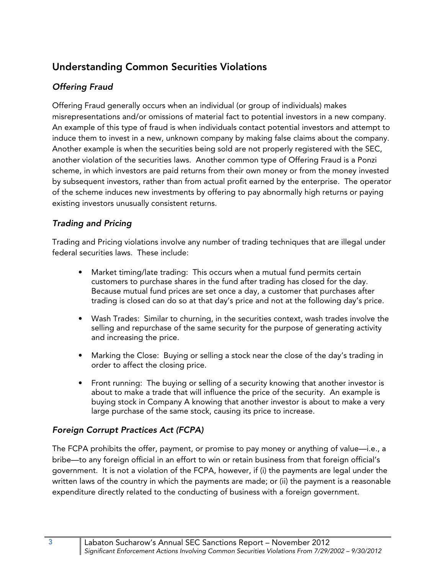# **Understanding Common Securities Violations**

#### *Offering Fraud*

Offering Fraud generally occurs when an individual (or group of individuals) makes misrepresentations and/or omissions of material fact to potential investors in a new company. An example of this type of fraud is when individuals contact potential investors and attempt to induce them to invest in a new, unknown company by making false claims about the company. Another example is when the securities being sold are not properly registered with the SEC, another violation of the securities laws. Another common type of Offering Fraud is a Ponzi scheme, in which investors are paid returns from their own money or from the money invested by subsequent investors, rather than from actual profit earned by the enterprise. The operator of the scheme induces new investments by offering to pay abnormally high returns or paying existing investors unusually consistent returns.

#### *Trading and Pricing*

Trading and Pricing violations involve any number of trading techniques that are illegal under federal securities laws. These include:

- Market timing/late trading: This occurs when a mutual fund permits certain customers to purchase shares in the fund after trading has closed for the day. Because mutual fund prices are set once a day, a customer that purchases after trading is closed can do so at that day's price and not at the following day's price.
- Wash Trades: Similar to churning, in the securities context, wash trades involve the selling and repurchase of the same security for the purpose of generating activity and increasing the price.
- Marking the Close: Buying or selling a stock near the close of the day's trading in order to affect the closing price.
- Front running: The buying or selling of a security knowing that another investor is about to make a trade that will influence the price of the security. An example is buying stock in Company A knowing that another investor is about to make a very large purchase of the same stock, causing its price to increase.

#### *Foreign Corrupt Practices Act (FCPA)*

The FCPA prohibits the offer, payment, or promise to pay money or anything of value—i.e., a bribe—to any foreign official in an effort to win or retain business from that foreign official's government. It is not a violation of the FCPA, however, if (i) the payments are legal under the written laws of the country in which the payments are made; or (ii) the payment is a reasonable expenditure directly related to the conducting of business with a foreign government.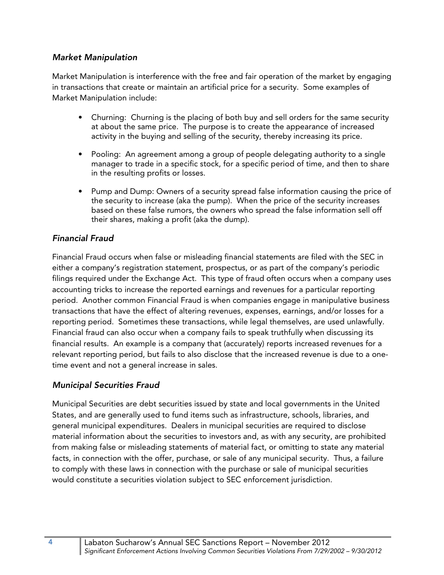#### *Market Manipulation*

Market Manipulation is interference with the free and fair operation of the market by engaging in transactions that create or maintain an artificial price for a security. Some examples of Market Manipulation include:

- Churning: Churning is the placing of both buy and sell orders for the same security at about the same price. The purpose is to create the appearance of increased activity in the buying and selling of the security, thereby increasing its price.
- Pooling: An agreement among a group of people delegating authority to a single manager to trade in a specific stock, for a specific period of time, and then to share in the resulting profits or losses.
- Pump and Dump: Owners of a security spread false information causing the price of the security to increase (aka the pump). When the price of the security increases based on these false rumors, the owners who spread the false information sell off their shares, making a profit (aka the dump).

#### *Financial Fraud*

Financial Fraud occurs when false or misleading financial statements are filed with the SEC in either a company's registration statement, prospectus, or as part of the company's periodic filings required under the Exchange Act. This type of fraud often occurs when a company uses accounting tricks to increase the reported earnings and revenues for a particular reporting period. Another common Financial Fraud is when companies engage in manipulative business transactions that have the effect of altering revenues, expenses, earnings, and/or losses for a reporting period. Sometimes these transactions, while legal themselves, are used unlawfully. Financial fraud can also occur when a company fails to speak truthfully when discussing its financial results. An example is a company that (accurately) reports increased revenues for a relevant reporting period, but fails to also disclose that the increased revenue is due to a onetime event and not a general increase in sales.

#### *Municipal Securities Fraud*

Municipal Securities are debt securities issued by state and local governments in the United States, and are generally used to fund items such as infrastructure, schools, libraries, and general municipal expenditures. Dealers in municipal securities are required to disclose material information about the securities to investors and, as with any security, are prohibited from making false or misleading statements of material fact, or omitting to state any material facts, in connection with the offer, purchase, or sale of any municipal security. Thus, a failure to comply with these laws in connection with the purchase or sale of municipal securities would constitute a securities violation subject to SEC enforcement jurisdiction.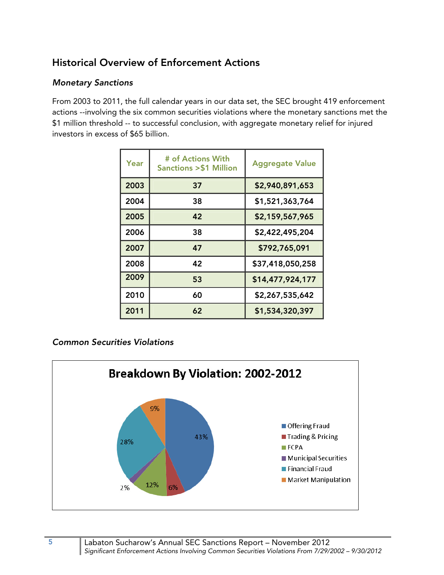# **Historical Overview of Enforcement Actions**

#### *Monetary Sanctions*

From 2003 to 2011, the full calendar years in our data set, the SEC brought 419 enforcement actions --involving the six common securities violations where the monetary sanctions met the \$1 million threshold -- to successful conclusion, with aggregate monetary relief for injured investors in excess of \$65 billion.

| Year | # of Actions With<br><b>Sanctions &gt; \$1 Million</b> | <b>Aggregate Value</b> |
|------|--------------------------------------------------------|------------------------|
| 2003 | 37                                                     | \$2,940,891,653        |
| 2004 | 38                                                     | \$1,521,363,764        |
| 2005 | 42                                                     | \$2,159,567,965        |
| 2006 | 38                                                     | \$2,422,495,204        |
| 2007 | 47                                                     | \$792,765,091          |
| 2008 | 42                                                     | \$37,418,050,258       |
| 2009 | 53                                                     | \$14,477,924,177       |
| 2010 | 60                                                     | \$2,267,535,642        |
| 2011 | 62                                                     | \$1,534,320,397        |

#### *Common Securities Violations*

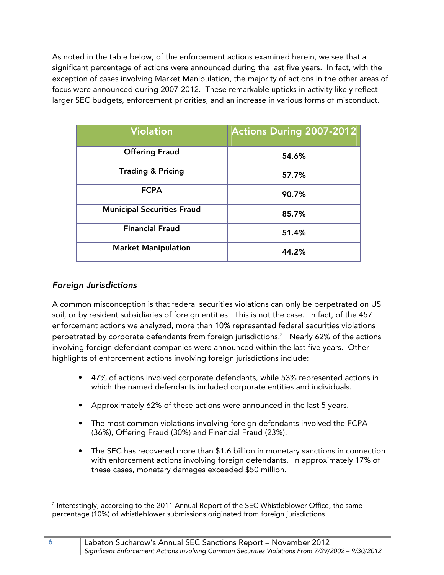As noted in the table below, of the enforcement actions examined herein, we see that a significant percentage of actions were announced during the last five years. In fact, with the exception of cases involving Market Manipulation, the majority of actions in the other areas of focus were announced during 2007-2012. These remarkable upticks in activity likely reflect larger SEC budgets, enforcement priorities, and an increase in various forms of misconduct.

| <b>Violation</b>                  | <b>Actions During 2007-2012</b> |
|-----------------------------------|---------------------------------|
| <b>Offering Fraud</b>             | 54.6%                           |
| <b>Trading &amp; Pricing</b>      | 57.7%                           |
| <b>FCPA</b>                       | 90.7%                           |
| <b>Municipal Securities Fraud</b> | 85.7%                           |
| <b>Financial Fraud</b>            | 51.4%                           |
| <b>Market Manipulation</b>        | 44.2%                           |

#### *Foreign Jurisdictions*

A common misconception is that federal securities violations can only be perpetrated on US soil, or by resident subsidiaries of foreign entities. This is not the case. In fact, of the 457 enforcement actions we analyzed, more than 10% represented federal securities violations perpetrated by corporate defendants from foreign jurisdictions. $^2$  Nearly 62% of the actions involving foreign defendant companies were announced within the last five years. Other highlights of enforcement actions involving foreign jurisdictions include:

- 47% of actions involved corporate defendants, while 53% represented actions in which the named defendants included corporate entities and individuals.
- Approximately 62% of these actions were announced in the last 5 years.
- The most common violations involving foreign defendants involved the FCPA (36%), Offering Fraud (30%) and Financial Fraud (23%).
- The SEC has recovered more than \$1.6 billion in monetary sanctions in connection with enforcement actions involving foreign defendants. In approximately 17% of these cases, monetary damages exceeded \$50 million.

<sup>-</sup><sup>2</sup> Interestingly, according to the 2011 Annual Report of the SEC Whistleblower Office, the same percentage (10%) of whistleblower submissions originated from foreign jurisdictions.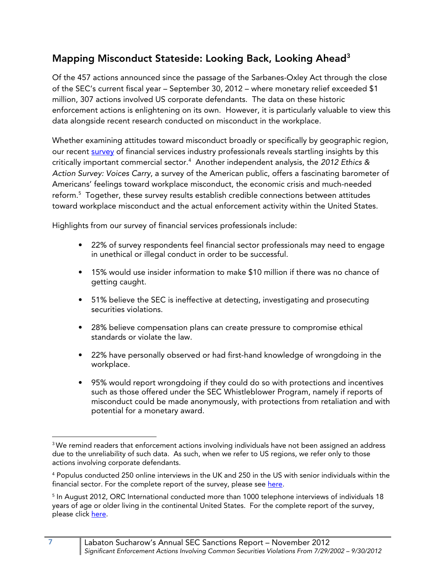# **Mapping Misconduct Stateside: Looking Back, Looking Ahead3**

Of the 457 actions announced since the passage of the Sarbanes-Oxley Act through the close of the SEC's current fiscal year – September 30, 2012 – where monetary relief exceeded \$1 million, 307 actions involved US corporate defendants. The data on these historic enforcement actions is enlightening on its own. However, it is particularly valuable to view this data alongside recent research conducted on misconduct in the workplace.

Whether examining attitudes toward misconduct broadly or specifically by geographic region, our recent [survey](http://labaton.com/en/about/press/upload/US-UK-Financial-Services-Industry-Survey.pdf) of financial services industry professionals reveals startling insights by this critically important commercial sector.<sup>4</sup> Another independent analysis, the 2012 Ethics & Action Survey: Voices Carry, a survey of the American public, offers a fascinating barometer of Americans' feelings toward workplace misconduct, the economic crisis and much-needed reform.5 Together, these survey results establish credible connections between attitudes toward workplace misconduct and the actual enforcement activity within the United States.

Highlights from our survey of financial services professionals include:

- 22% of survey respondents feel financial sector professionals may need to engage in unethical or illegal conduct in order to be successful.
- 15% would use insider information to make \$10 million if there was no chance of getting caught.
- 51% believe the SEC is ineffective at detecting, investigating and prosecuting securities violations.
- 28% believe compensation plans can create pressure to compromise ethical standards or violate the law.
- 22% have personally observed or had first-hand knowledge of wrongdoing in the workplace.
- 95% would report wrongdoing if they could do so with protections and incentives such as those offered under the SEC Whistleblower Program, namely if reports of misconduct could be made anonymously, with protections from retaliation and with potential for a monetary award.

<sup>-</sup><sup>3</sup> We remind readers that enforcement actions involving individuals have not been assigned an address due to the unreliability of such data. As such, when we refer to US regions, we refer only to those actions involving corporate defendants.

<sup>4</sup> Populus conducted 250 online interviews in the UK and 250 in the US with senior individuals within the financial sector. For the complete report of the survey, please see here.

 $^{\rm 5}$  In August 2012, ORC International conducted more than 1000 telephone interviews of individuals 18 years of age or older living in the continental United States. For the complete report of the survey, please click [here.](http://www.labaton.com/en/about/press/upload/Ethics-Action-II-Report-Final.pdf)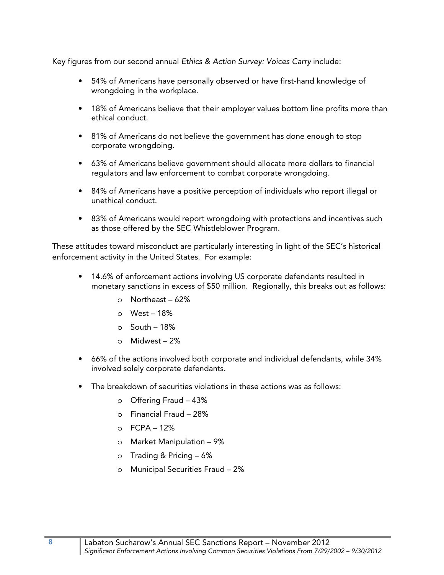Key figures from our second annual Ethics & Action Survey: Voices Carry include:

- 54% of Americans have personally observed or have first-hand knowledge of wrongdoing in the workplace.
- 18% of Americans believe that their employer values bottom line profits more than ethical conduct.
- 81% of Americans do not believe the government has done enough to stop corporate wrongdoing.
- 63% of Americans believe government should allocate more dollars to financial regulators and law enforcement to combat corporate wrongdoing.
- 84% of Americans have a positive perception of individuals who report illegal or unethical conduct.
- 83% of Americans would report wrongdoing with protections and incentives such as those offered by the SEC Whistleblower Program.

These attitudes toward misconduct are particularly interesting in light of the SEC's historical enforcement activity in the United States. For example:

- 14.6% of enforcement actions involving US corporate defendants resulted in monetary sanctions in excess of \$50 million. Regionally, this breaks out as follows:
	- o Northeast 62%
	- o West 18%
	- o South 18%
	- o Midwest 2%
- 66% of the actions involved both corporate and individual defendants, while 34% involved solely corporate defendants.
- The breakdown of securities violations in these actions was as follows:
	- o Offering Fraud 43%
	- o Financial Fraud 28%
	- $O$  FCPA 12%
	- o Market Manipulation 9%
	- o Trading & Pricing 6%
	- o Municipal Securities Fraud 2%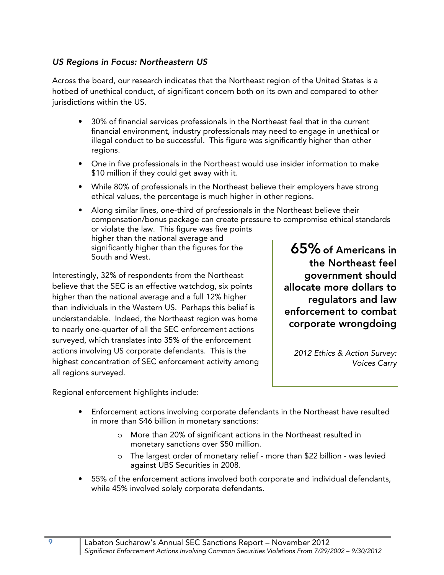#### *US Regions in Focus: Northeastern US*

Across the board, our research indicates that the Northeast region of the United States is a hotbed of unethical conduct, of significant concern both on its own and compared to other jurisdictions within the US.

- 30% of financial services professionals in the Northeast feel that in the current financial environment, industry professionals may need to engage in unethical or illegal conduct to be successful. This figure was significantly higher than other regions.
- One in five professionals in the Northeast would use insider information to make \$10 million if they could get away with it.
- While 80% of professionals in the Northeast believe their employers have strong ethical values, the percentage is much higher in other regions.
- **65% of Americans in**  • Along similar lines, one-third of professionals in the Northeast believe their compensation/bonus package can create pressure to compromise ethical standards or violate the law. This figure was five points higher than the national average and significantly higher than the figures for the South and West.

Interestingly, 32% of respondents from the Northeast believe that the SEC is an effective watchdog, six points higher than the national average and a full 12% higher than individuals in the Western US. Perhaps this belief is understandable. Indeed, the Northeast region was home to nearly one-quarter of all the SEC enforcement actions surveyed, which translates into 35% of the enforcement actions involving US corporate defendants. This is the highest concentration of SEC enforcement activity among all regions surveyed.

**the Northeast feel government should allocate more dollars to regulators and law enforcement to combat corporate wrongdoing**

2012 Ethics & Action Survey: Voices Carry

Regional enforcement highlights include:

- Enforcement actions involving corporate defendants in the Northeast have resulted in more than \$46 billion in monetary sanctions:
	- o More than 20% of significant actions in the Northeast resulted in monetary sanctions over \$50 million.
	- o The largest order of monetary relief more than \$22 billion was levied against UBS Securities in 2008.
- 55% of the enforcement actions involved both corporate and individual defendants, while 45% involved solely corporate defendants.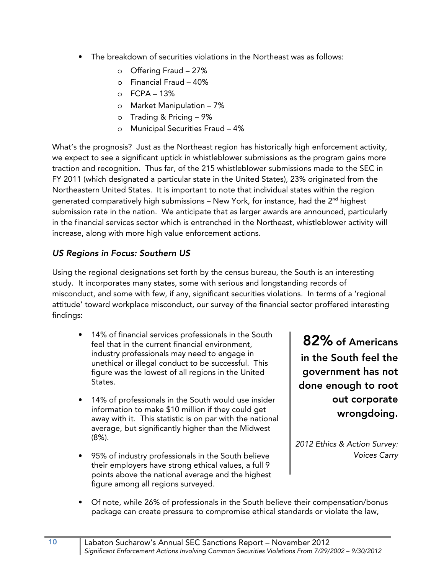- The breakdown of securities violations in the Northeast was as follows:
	- o Offering Fraud 27%
	- o Financial Fraud 40%
	- $O$  FCPA 13%
	- o Market Manipulation 7%
	- o Trading & Pricing 9%
	- o Municipal Securities Fraud 4%

What's the prognosis? Just as the Northeast region has historically high enforcement activity, we expect to see a significant uptick in whistleblower submissions as the program gains more traction and recognition. Thus far, of the 215 whistleblower submissions made to the SEC in FY 2011 (which designated a particular state in the United States), 23% originated from the Northeastern United States. It is important to note that individual states within the region generated comparatively high submissions  $-$  New York, for instance, had the  $2<sup>nd</sup>$  highest submission rate in the nation. We anticipate that as larger awards are announced, particularly in the financial services sector which is entrenched in the Northeast, whistleblower activity will increase, along with more high value enforcement actions.

#### *US Regions in Focus: Southern US*

Using the regional designations set forth by the census bureau, the South is an interesting study. It incorporates many states, some with serious and longstanding records of misconduct, and some with few, if any, significant securities violations. In terms of a 'regional attitude' toward workplace misconduct, our survey of the financial sector proffered interesting findings:

- 14% of financial services professionals in the South feel that in the current financial environment, industry professionals may need to engage in unethical or illegal conduct to be successful. This figure was the lowest of all regions in the United States.
- 14% of professionals in the South would use insider information to make \$10 million if they could get away with it. This statistic is on par with the national average, but significantly higher than the Midwest (8%).
- 95% of industry professionals in the South believe their employers have strong ethical values, a full 9 points above the national average and the highest figure among all regions surveyed.

**82% of Americans in the South feel the government has not done enough to root out corporate wrongdoing.** 

2012 Ethics & Action Survey: Voices Carry

• Of note, while 26% of professionals in the South believe their compensation/bonus package can create pressure to compromise ethical standards or violate the law,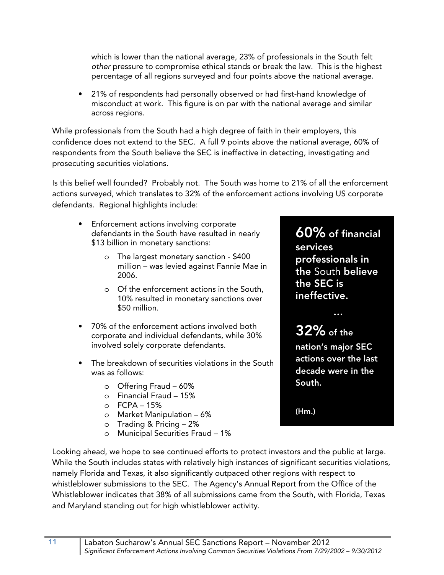which is lower than the national average, 23% of professionals in the South felt other pressure to compromise ethical stands or break the law. This is the highest percentage of all regions surveyed and four points above the national average.

• 21% of respondents had personally observed or had first-hand knowledge of misconduct at work. This figure is on par with the national average and similar across regions.

While professionals from the South had a high degree of faith in their employers, this confidence does not extend to the SEC. A full 9 points above the national average, 60% of respondents from the South believe the SEC is ineffective in detecting, investigating and prosecuting securities violations.

Is this belief well founded? Probably not. The South was home to 21% of all the enforcement actions surveyed, which translates to 32% of the enforcement actions involving US corporate defendants. Regional highlights include:

- Enforcement actions involving corporate defendants in the South have resulted in nearly \$13 billion in monetary sanctions:
	- o The largest monetary sanction \$400 million – was levied against Fannie Mae in 2006.
	- o Of the enforcement actions in the South, 10% resulted in monetary sanctions over \$50 million.
- 70% of the enforcement actions involved both corporate and individual defendants, while 30% involved solely corporate defendants.
- The breakdown of securities violations in the South was as follows:
	- o Offering Fraud 60%
	- o Financial Fraud 15%
	- $O$  FCPA 15%
	- o Market Manipulation 6%
	- o Trading & Pricing 2%
	- o Municipal Securities Fraud 1%

**60% of financial services professionals in the** South **believe the SEC is ineffective.** 

**…** 

# **32% of the**

**nation's major SEC actions over the last decade were in the South.** 

**(Hm.)**

Looking ahead, we hope to see continued efforts to protect investors and the public at large. While the South includes states with relatively high instances of significant securities violations, namely Florida and Texas, it also significantly outpaced other regions with respect to whistleblower submissions to the SEC. The Agency's Annual Report from the Office of the Whistleblower indicates that 38% of all submissions came from the South, with Florida, Texas and Maryland standing out for high whistleblower activity.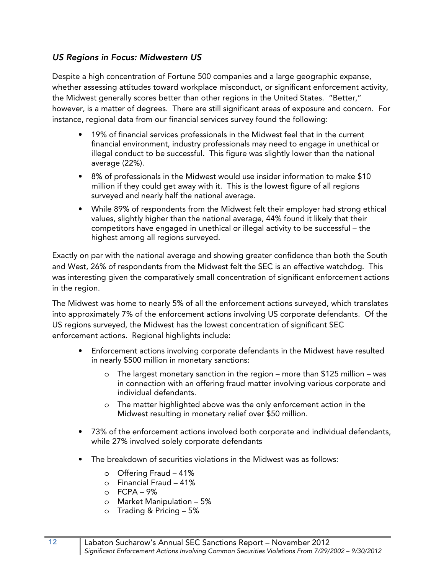#### *US Regions in Focus: Midwestern US*

Despite a high concentration of Fortune 500 companies and a large geographic expanse, whether assessing attitudes toward workplace misconduct, or significant enforcement activity, the Midwest generally scores better than other regions in the United States. "Better," however, is a matter of degrees. There are still significant areas of exposure and concern. For instance, regional data from our financial services survey found the following:

- 19% of financial services professionals in the Midwest feel that in the current financial environment, industry professionals may need to engage in unethical or illegal conduct to be successful. This figure was slightly lower than the national average (22%).
- 8% of professionals in the Midwest would use insider information to make \$10 million if they could get away with it. This is the lowest figure of all regions surveyed and nearly half the national average.
- While 89% of respondents from the Midwest felt their employer had strong ethical values, slightly higher than the national average, 44% found it likely that their competitors have engaged in unethical or illegal activity to be successful – the highest among all regions surveyed.

Exactly on par with the national average and showing greater confidence than both the South and West, 26% of respondents from the Midwest felt the SEC is an effective watchdog. This was interesting given the comparatively small concentration of significant enforcement actions in the region.

The Midwest was home to nearly 5% of all the enforcement actions surveyed, which translates into approximately 7% of the enforcement actions involving US corporate defendants. Of the US regions surveyed, the Midwest has the lowest concentration of significant SEC enforcement actions. Regional highlights include:

- Enforcement actions involving corporate defendants in the Midwest have resulted in nearly \$500 million in monetary sanctions:
	- o The largest monetary sanction in the region more than \$125 million was in connection with an offering fraud matter involving various corporate and individual defendants.
	- o The matter highlighted above was the only enforcement action in the Midwest resulting in monetary relief over \$50 million.
- 73% of the enforcement actions involved both corporate and individual defendants, while 27% involved solely corporate defendants
- The breakdown of securities violations in the Midwest was as follows:
	- o Offering Fraud 41%
	- o Financial Fraud 41%
	- $O$  FCPA 9%
	- o Market Manipulation 5%
	- o Trading & Pricing 5%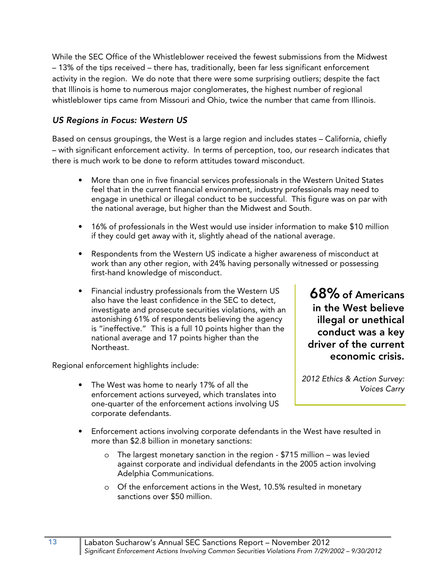While the SEC Office of the Whistleblower received the fewest submissions from the Midwest – 13% of the tips received – there has, traditionally, been far less significant enforcement activity in the region. We do note that there were some surprising outliers; despite the fact that Illinois is home to numerous major conglomerates, the highest number of regional whistleblower tips came from Missouri and Ohio, twice the number that came from Illinois.

#### *US Regions in Focus: Western US*

Based on census groupings, the West is a large region and includes states – California, chiefly – with significant enforcement activity. In terms of perception, too, our research indicates that there is much work to be done to reform attitudes toward misconduct.

- More than one in five financial services professionals in the Western United States feel that in the current financial environment, industry professionals may need to engage in unethical or illegal conduct to be successful. This figure was on par with the national average, but higher than the Midwest and South.
- 16% of professionals in the West would use insider information to make \$10 million if they could get away with it, slightly ahead of the national average.
- Respondents from the Western US indicate a higher awareness of misconduct at work than any other region, with 24% having personally witnessed or possessing first-hand knowledge of misconduct.
- Financial industry professionals from the Western US also have the least confidence in the SEC to detect, investigate and prosecute securities violations, with an astonishing 61% of respondents believing the agency is "ineffective." This is a full 10 points higher than the national average and 17 points higher than the Northeast.

Regional enforcement highlights include:

• The West was home to nearly 17% of all the enforcement actions surveyed, which translates into one-quarter of the enforcement actions involving US corporate defendants.

**68% of Americans in the West believe illegal or unethical conduct was a key driver of the current economic crisis.** 

2012 Ethics & Action Survey: Voices Carry

- Enforcement actions involving corporate defendants in the West have resulted in more than \$2.8 billion in monetary sanctions:
	- o The largest monetary sanction in the region \$715 million was levied against corporate and individual defendants in the 2005 action involving Adelphia Communications.
	- o Of the enforcement actions in the West, 10.5% resulted in monetary sanctions over \$50 million.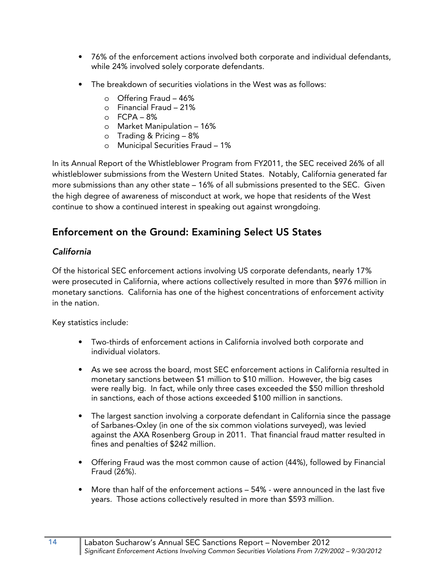- 76% of the enforcement actions involved both corporate and individual defendants, while 24% involved solely corporate defendants.
- The breakdown of securities violations in the West was as follows:
	- o Offering Fraud 46%
	- o Financial Fraud 21%
	- $O$  FCPA 8%
	- o Market Manipulation 16%
	- o Trading & Pricing 8%
	- o Municipal Securities Fraud 1%

In its Annual Report of the Whistleblower Program from FY2011, the SEC received 26% of all whistleblower submissions from the Western United States. Notably, California generated far more submissions than any other state – 16% of all submissions presented to the SEC. Given the high degree of awareness of misconduct at work, we hope that residents of the West continue to show a continued interest in speaking out against wrongdoing.

## **Enforcement on the Ground: Examining Select US States**

#### *California*

Of the historical SEC enforcement actions involving US corporate defendants, nearly 17% were prosecuted in California, where actions collectively resulted in more than \$976 million in monetary sanctions. California has one of the highest concentrations of enforcement activity in the nation.

Key statistics include:

- Two-thirds of enforcement actions in California involved both corporate and individual violators.
- As we see across the board, most SEC enforcement actions in California resulted in monetary sanctions between \$1 million to \$10 million. However, the big cases were really big. In fact, while only three cases exceeded the \$50 million threshold in sanctions, each of those actions exceeded \$100 million in sanctions.
- The largest sanction involving a corporate defendant in California since the passage of Sarbanes-Oxley (in one of the six common violations surveyed), was levied against the AXA Rosenberg Group in 2011. That financial fraud matter resulted in fines and penalties of \$242 million.
- Offering Fraud was the most common cause of action (44%), followed by Financial Fraud (26%).
- More than half of the enforcement actions 54% were announced in the last five years. Those actions collectively resulted in more than \$593 million.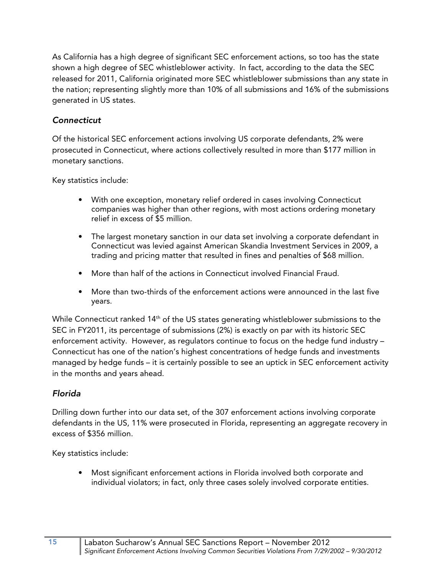As California has a high degree of significant SEC enforcement actions, so too has the state shown a high degree of SEC whistleblower activity. In fact, according to the data the SEC released for 2011, California originated more SEC whistleblower submissions than any state in the nation; representing slightly more than 10% of all submissions and 16% of the submissions generated in US states.

#### *Connecticut*

Of the historical SEC enforcement actions involving US corporate defendants, 2% were prosecuted in Connecticut, where actions collectively resulted in more than \$177 million in monetary sanctions.

Key statistics include:

- With one exception, monetary relief ordered in cases involving Connecticut companies was higher than other regions, with most actions ordering monetary relief in excess of \$5 million.
- The largest monetary sanction in our data set involving a corporate defendant in Connecticut was levied against American Skandia Investment Services in 2009, a trading and pricing matter that resulted in fines and penalties of \$68 million.
- More than half of the actions in Connecticut involved Financial Fraud.
- More than two-thirds of the enforcement actions were announced in the last five years.

While Connecticut ranked 14<sup>th</sup> of the US states generating whistleblower submissions to the SEC in FY2011, its percentage of submissions (2%) is exactly on par with its historic SEC enforcement activity. However, as regulators continue to focus on the hedge fund industry – Connecticut has one of the nation's highest concentrations of hedge funds and investments managed by hedge funds – it is certainly possible to see an uptick in SEC enforcement activity in the months and years ahead.

#### *Florida*

Drilling down further into our data set, of the 307 enforcement actions involving corporate defendants in the US, 11% were prosecuted in Florida, representing an aggregate recovery in excess of \$356 million.

Key statistics include:

• Most significant enforcement actions in Florida involved both corporate and individual violators; in fact, only three cases solely involved corporate entities.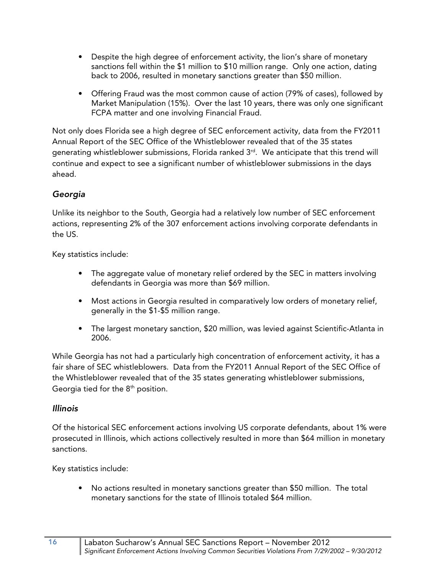- Despite the high degree of enforcement activity, the lion's share of monetary sanctions fell within the \$1 million to \$10 million range. Only one action, dating back to 2006, resulted in monetary sanctions greater than \$50 million.
- Offering Fraud was the most common cause of action (79% of cases), followed by Market Manipulation (15%). Over the last 10 years, there was only one significant FCPA matter and one involving Financial Fraud.

Not only does Florida see a high degree of SEC enforcement activity, data from the FY2011 Annual Report of the SEC Office of the Whistleblower revealed that of the 35 states generating whistleblower submissions, Florida ranked  $3<sup>rd</sup>$ . We anticipate that this trend will continue and expect to see a significant number of whistleblower submissions in the days ahead.

#### *Georgia*

Unlike its neighbor to the South, Georgia had a relatively low number of SEC enforcement actions, representing 2% of the 307 enforcement actions involving corporate defendants in the US.

Key statistics include:

- The aggregate value of monetary relief ordered by the SEC in matters involving defendants in Georgia was more than \$69 million.
- Most actions in Georgia resulted in comparatively low orders of monetary relief, generally in the \$1-\$5 million range.
- The largest monetary sanction, \$20 million, was levied against Scientific-Atlanta in 2006.

While Georgia has not had a particularly high concentration of enforcement activity, it has a fair share of SEC whistleblowers. Data from the FY2011 Annual Report of the SEC Office of the Whistleblower revealed that of the 35 states generating whistleblower submissions, Georgia tied for the  $8<sup>th</sup>$  position.

#### *Illinois*

Of the historical SEC enforcement actions involving US corporate defendants, about 1% were prosecuted in Illinois, which actions collectively resulted in more than \$64 million in monetary sanctions.

Key statistics include:

• No actions resulted in monetary sanctions greater than \$50 million. The total monetary sanctions for the state of Illinois totaled \$64 million.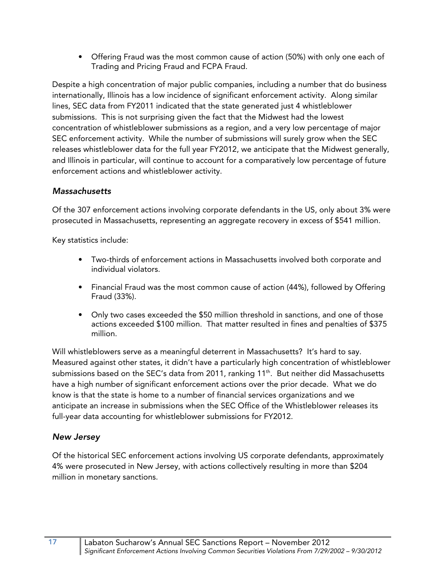• Offering Fraud was the most common cause of action (50%) with only one each of Trading and Pricing Fraud and FCPA Fraud.

Despite a high concentration of major public companies, including a number that do business internationally, Illinois has a low incidence of significant enforcement activity. Along similar lines, SEC data from FY2011 indicated that the state generated just 4 whistleblower submissions. This is not surprising given the fact that the Midwest had the lowest concentration of whistleblower submissions as a region, and a very low percentage of major SEC enforcement activity. While the number of submissions will surely grow when the SEC releases whistleblower data for the full year FY2012, we anticipate that the Midwest generally, and Illinois in particular, will continue to account for a comparatively low percentage of future enforcement actions and whistleblower activity.

#### *Massachusetts*

Of the 307 enforcement actions involving corporate defendants in the US, only about 3% were prosecuted in Massachusetts, representing an aggregate recovery in excess of \$541 million.

Key statistics include:

- Two-thirds of enforcement actions in Massachusetts involved both corporate and individual violators.
- Financial Fraud was the most common cause of action (44%), followed by Offering Fraud (33%).
- Only two cases exceeded the \$50 million threshold in sanctions, and one of those actions exceeded \$100 million. That matter resulted in fines and penalties of \$375 million.

Will whistleblowers serve as a meaningful deterrent in Massachusetts? It's hard to say. Measured against other states, it didn't have a particularly high concentration of whistleblower submissions based on the SEC's data from 2011, ranking 11<sup>th</sup>. But neither did Massachusetts have a high number of significant enforcement actions over the prior decade. What we do know is that the state is home to a number of financial services organizations and we anticipate an increase in submissions when the SEC Office of the Whistleblower releases its full-year data accounting for whistleblower submissions for FY2012.

#### *New Jersey*

Of the historical SEC enforcement actions involving US corporate defendants, approximately 4% were prosecuted in New Jersey, with actions collectively resulting in more than \$204 million in monetary sanctions.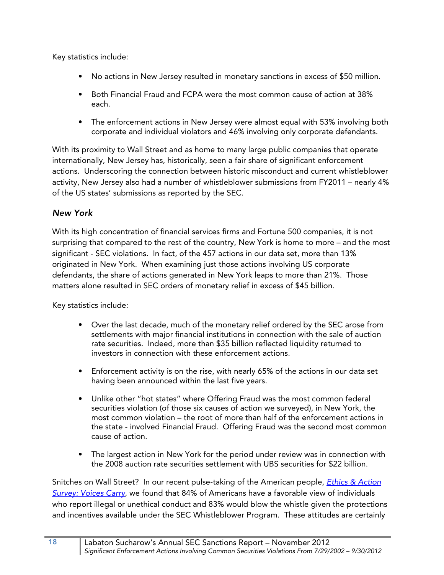Key statistics include:

- No actions in New Jersey resulted in monetary sanctions in excess of \$50 million.
- Both Financial Fraud and FCPA were the most common cause of action at 38% each.
- The enforcement actions in New Jersey were almost equal with 53% involving both corporate and individual violators and 46% involving only corporate defendants.

With its proximity to Wall Street and as home to many large public companies that operate internationally, New Jersey has, historically, seen a fair share of significant enforcement actions. Underscoring the connection between historic misconduct and current whistleblower activity, New Jersey also had a number of whistleblower submissions from FY2011 – nearly 4% of the US states' submissions as reported by the SEC.

#### *New York*

With its high concentration of financial services firms and Fortune 500 companies, it is not surprising that compared to the rest of the country, New York is home to more – and the most significant - SEC violations. In fact, of the 457 actions in our data set, more than 13% originated in New York. When examining just those actions involving US corporate defendants, the share of actions generated in New York leaps to more than 21%. Those matters alone resulted in SEC orders of monetary relief in excess of \$45 billion.

Key statistics include:

- Over the last decade, much of the monetary relief ordered by the SEC arose from settlements with major financial institutions in connection with the sale of auction rate securities. Indeed, more than \$35 billion reflected liquidity returned to investors in connection with these enforcement actions.
- Enforcement activity is on the rise, with nearly 65% of the actions in our data set having been announced within the last five years.
- Unlike other "hot states" where Offering Fraud was the most common federal securities violation (of those six causes of action we surveyed), in New York, the most common violation – the root of more than half of the enforcement actions in the state - involved Financial Fraud. Offering Fraud was the second most common cause of action.
- The largest action in New York for the period under review was in connection with the 2008 auction rate securities settlement with UBS securities for \$22 billion.

Snitches on Wall Street? In our recent pulse-taking of the American people, *Ethics & Action* [Survey: Voices Carry](http://www.labaton.com/en/about/press/upload/Ethics-Action-II-Report-Final.pdf), we found that 84% of Americans have a favorable view of individuals who report illegal or unethical conduct and 83% would blow the whistle given the protections and incentives available under the SEC Whistleblower Program. These attitudes are certainly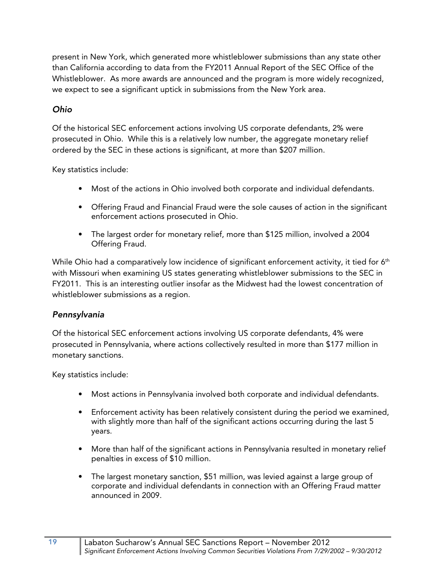present in New York, which generated more whistleblower submissions than any state other than California according to data from the FY2011 Annual Report of the SEC Office of the Whistleblower. As more awards are announced and the program is more widely recognized, we expect to see a significant uptick in submissions from the New York area.

#### *Ohio*

Of the historical SEC enforcement actions involving US corporate defendants, 2% were prosecuted in Ohio. While this is a relatively low number, the aggregate monetary relief ordered by the SEC in these actions is significant, at more than \$207 million.

Key statistics include:

- Most of the actions in Ohio involved both corporate and individual defendants.
- Offering Fraud and Financial Fraud were the sole causes of action in the significant enforcement actions prosecuted in Ohio.
- The largest order for monetary relief, more than \$125 million, involved a 2004 Offering Fraud.

While Ohio had a comparatively low incidence of significant enforcement activity, it tied for 6<sup>th</sup> with Missouri when examining US states generating whistleblower submissions to the SEC in FY2011. This is an interesting outlier insofar as the Midwest had the lowest concentration of whistleblower submissions as a region.

#### *Pennsylvania*

Of the historical SEC enforcement actions involving US corporate defendants, 4% were prosecuted in Pennsylvania, where actions collectively resulted in more than \$177 million in monetary sanctions.

Key statistics include:

- Most actions in Pennsylvania involved both corporate and individual defendants.
- Enforcement activity has been relatively consistent during the period we examined, with slightly more than half of the significant actions occurring during the last 5 years.
- More than half of the significant actions in Pennsylvania resulted in monetary relief penalties in excess of \$10 million.
- The largest monetary sanction, \$51 million, was levied against a large group of corporate and individual defendants in connection with an Offering Fraud matter announced in 2009.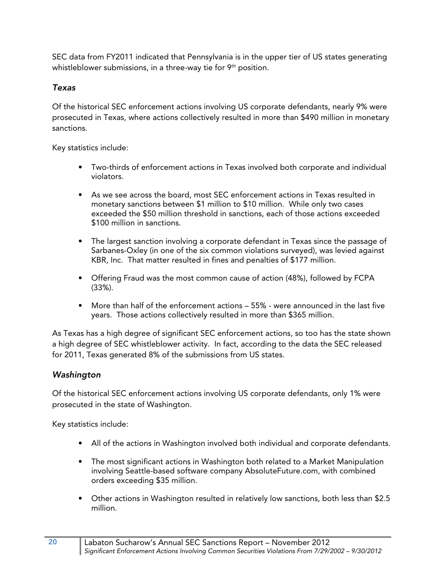SEC data from FY2011 indicated that Pennsylvania is in the upper tier of US states generating whistleblower submissions, in a three-way tie for  $9<sup>th</sup>$  position.

#### *Texas*

Of the historical SEC enforcement actions involving US corporate defendants, nearly 9% were prosecuted in Texas, where actions collectively resulted in more than \$490 million in monetary sanctions.

Key statistics include:

- Two-thirds of enforcement actions in Texas involved both corporate and individual violators.
- As we see across the board, most SEC enforcement actions in Texas resulted in monetary sanctions between \$1 million to \$10 million. While only two cases exceeded the \$50 million threshold in sanctions, each of those actions exceeded \$100 million in sanctions.
- The largest sanction involving a corporate defendant in Texas since the passage of Sarbanes-Oxley (in one of the six common violations surveyed), was levied against KBR, Inc. That matter resulted in fines and penalties of \$177 million.
- Offering Fraud was the most common cause of action (48%), followed by FCPA (33%).
- More than half of the enforcement actions 55% were announced in the last five years. Those actions collectively resulted in more than \$365 million.

As Texas has a high degree of significant SEC enforcement actions, so too has the state shown a high degree of SEC whistleblower activity. In fact, according to the data the SEC released for 2011, Texas generated 8% of the submissions from US states.

#### *Washington*

Of the historical SEC enforcement actions involving US corporate defendants, only 1% were prosecuted in the state of Washington.

Key statistics include:

- All of the actions in Washington involved both individual and corporate defendants.
- The most significant actions in Washington both related to a Market Manipulation involving Seattle-based software company AbsoluteFuture.com, with combined orders exceeding \$35 million.
- Other actions in Washington resulted in relatively low sanctions, both less than \$2.5 million.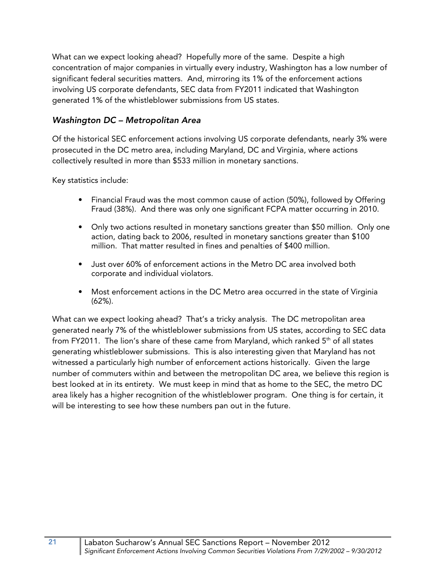What can we expect looking ahead? Hopefully more of the same. Despite a high concentration of major companies in virtually every industry, Washington has a low number of significant federal securities matters. And, mirroring its 1% of the enforcement actions involving US corporate defendants, SEC data from FY2011 indicated that Washington generated 1% of the whistleblower submissions from US states.

#### *Washington DC – Metropolitan Area*

Of the historical SEC enforcement actions involving US corporate defendants, nearly 3% were prosecuted in the DC metro area, including Maryland, DC and Virginia, where actions collectively resulted in more than \$533 million in monetary sanctions.

Key statistics include:

- Financial Fraud was the most common cause of action (50%), followed by Offering Fraud (38%). And there was only one significant FCPA matter occurring in 2010.
- Only two actions resulted in monetary sanctions greater than \$50 million. Only one action, dating back to 2006, resulted in monetary sanctions greater than \$100 million. That matter resulted in fines and penalties of \$400 million.
- Just over 60% of enforcement actions in the Metro DC area involved both corporate and individual violators.
- Most enforcement actions in the DC Metro area occurred in the state of Virginia (62%).

What can we expect looking ahead? That's a tricky analysis. The DC metropolitan area generated nearly 7% of the whistleblower submissions from US states, according to SEC data from FY2011. The lion's share of these came from Maryland, which ranked  $5<sup>th</sup>$  of all states generating whistleblower submissions. This is also interesting given that Maryland has not witnessed a particularly high number of enforcement actions historically. Given the large number of commuters within and between the metropolitan DC area, we believe this region is best looked at in its entirety. We must keep in mind that as home to the SEC, the metro DC area likely has a higher recognition of the whistleblower program. One thing is for certain, it will be interesting to see how these numbers pan out in the future.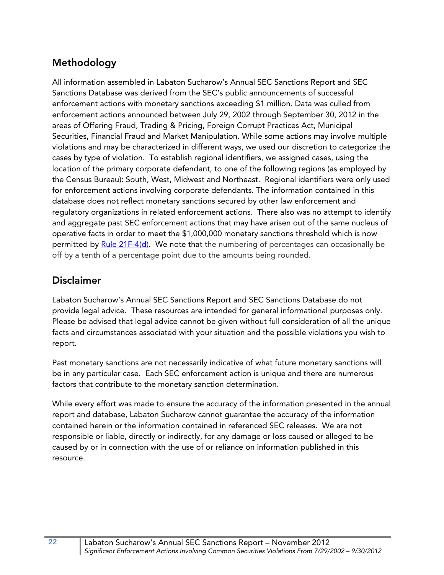# **Methodology**

All information assembled in Labaton Sucharow's Annual SEC Sanctions Report and SEC Sanctions Database was derived from the SEC's public announcements of successful enforcement actions with monetary sanctions exceeding \$1 million. Data was culled from enforcement actions announced between July 29, 2002 through September 30, 2012 in the areas of Offering Fraud, Trading & Pricing, Foreign Corrupt Practices Act, Municipal Securities, Financial Fraud and Market Manipulation. While some actions may involve multiple violations and may be characterized in different ways, we used our discretion to categorize the cases by type of violation. To establish regional identifiers, we assigned cases, using the location of the primary corporate defendant, to one of the following regions (as employed by the Census Bureau): South, West, Midwest and Northeast. Regional identifiers were only used for enforcement actions involving corporate defendants. The information contained in this database does not reflect monetary sanctions secured by other law enforcement and regulatory organizations in related enforcement actions. There also was no attempt to identify and aggregate past SEC enforcement actions that may have arisen out of the same nucleus of operative facts in order to meet the \$1,000,000 monetary sanctions threshold which is now permitted b[y Rule 21F-4\(d\).](http://www.sec.gov/about/offices/owb/reg-21f.pdf) We note that the numbering of percentages can occasionally be off by a tenth of a percentage point due to the amounts being rounded.

## **Disclaimer**

Labaton Sucharow's Annual SEC Sanctions Report and SEC Sanctions Database do not provide legal advice. These resources are intended for general informational purposes only. Please be advised that legal advice cannot be given without full consideration of all the unique facts and circumstances associated with your situation and the possible violations you wish to report.

Past monetary sanctions are not necessarily indicative of what future monetary sanctions will be in any particular case. Each SEC enforcement action is unique and there are numerous factors that contribute to the monetary sanction determination.

While every effort was made to ensure the accuracy of the information presented in the annual report and database, Labaton Sucharow cannot guarantee the accuracy of the information contained herein or the information contained in referenced SEC releases. We are not responsible or liable, directly or indirectly, for any damage or loss caused or alleged to be caused by or in connection with the use of or reliance on information published in this resource.